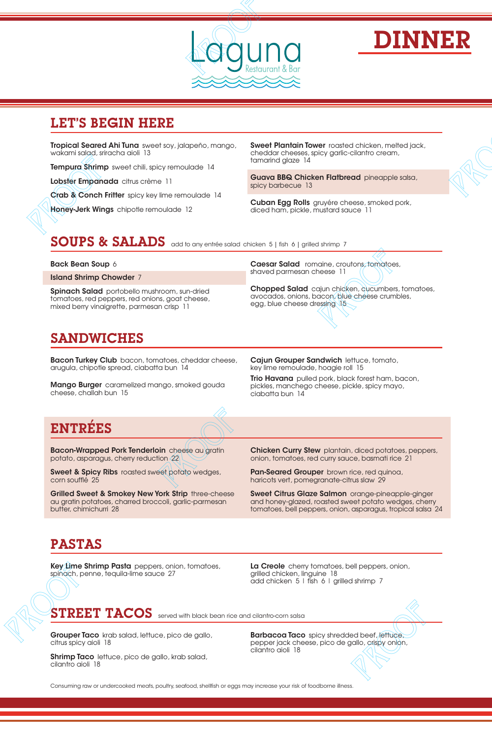

# DINNER

#### LET'S BEGIN HERE

Tropical Seared Ahi Tuna sweet soy, jalapeño, mango, wakami salad, sriracha aioli 13 **EXAMPLE PROPRIM SET AND SET AND SET AND SET AND SET AND SET AND SET AND SET AND SET AND SET AND SET AND SET AND SET AND SET AND SET AND SET AND SET AND SET AND SET AND SOUP SET AND SET AND SET AND SET AND SET AND SET AND** 

**Tempura Shrimp** sweet chili, spicy remoulade 14

Lobster Empanada citrus crème 11

Crab & Conch Fritter spicy key lime remoulade 14

Honey-Jerk Wings chipotle remoulade 12

**Sweet Plantain Tower** roasted chicken, melted jack, cheddar cheeses, spicy garlic-cilantro cream, tamarind glaze 14

Guava BBQ Chicken Flatbread pineapple salsa, spicy barbecue 13

**Cuban Egg Rolls** gruyére cheese, smoked pork, diced ham, pickle, mustard sauce 11

SOUPS & SALADS add to any entrée salad chicken 5 | fish 6 | grilled shrimp 7

#### Back Bean Soup 6

Island Shrimp Chowder 7

Spinach Salad portobello mushroom, sun-dried tomatoes, red peppers, red onions, goat cheese, mixed berry vinaigrette, parmesan crisp 11

Caesar Salad romaine, croutons, tomatoes, shaved parmesan cheese 11

Chopped Salad cajun chicken, cucumbers, tomatoes, avocados, onions, bacon, blue cheese crumbles, egg, blue cheese dressing 15

# SANDWICHES

**Bacon Turkey Club** bacon, tomatoes, cheddar cheese, arugula, chipotle spread, ciabatta bun 14

**Mango Burger** caramelized mango, smoked gouda cheese, challah bun 15

Cajun Grouper Sandwich lettuce, tomato, key lime remoulade, hoagie roll 15

Trio Havana pulled pork, black forest ham, bacon, pickles, manchego cheese, pickle, spicy mayo, ciabatta bun 14

# ENTREES

**Bacon-Wrapped Pork Tenderloin** cheese au gratin potato, asparagus, cherry reduction 22

**Sweet & Spicy Ribs** roasted sweet potato wedges, corn soufflé 25

Grilled Sweet & Smokey New York Strip three-cheese au gratin potatoes, charred broccoli, garlic-parmesan butter, chimichurri 28

**Chicken Curry Stew** plantain, diced potatoes, peppers, onion, tomatoes, red curry sauce, basmati rice 21

Pan-Seared Grouper brown rice, red quinoa, haricots vert, pomegranate-citrus slaw 29

Sweet Citrus Glaze Salmon orange-pineapple-ginger and honey-glazed, roasted sweet potato wedges, cherry tomatoes, bell peppers, onion, asparagus, tropical salsa 24 **LET'S BEGIN HERE** THE SACTOR CONFIDENTIAL CONFIDENTIAL CONFIDENTIAL CONFIDENTIAL CONFIDENTIAL CONFIDENTIAL CONFIDENTIAL CONFIDENTIAL CONFIDENTIAL CONFIDENTIAL CONFIDENTIAL CONFIDENTIAL CONFIDENTIAL CONFIDENTIAL CONFIDENT Star cheese, **Cajun Grouper Sandwich** lettice, formation, they interminately holds they incredible, the properties that the properties and properties and properties and properties are properties and properties are properti Propical salsa 24<br>
Propical salsa 24<br>
Propical salsa 24<br>
Propical salsa 24<br>
Propical salsa 24<br>
Propical salsa 24<br>
Propical salsa 24<br>
Propical salsa 24<br>
Propical salsa 24<br>
Propical salsa 24<br>
Propical salsa 24<br>
Propical sals

# PASTAS

Key Lime Shrimp Pasta peppers, onion, tomatoes, spinach, penne, tequila-lime sauce 27

La Creole cherry tomatoes, bell peppers, onion, grilled chicken, linguine 18 add chicken 5 | fish 6 | grilled shrimp 7

#### $\textbf{T}\textbf{REF}\textbf{T}\textbf{ACOS}$  served with black bean rice and cilantro-corn salsa

**Grouper Taco** krab salad, lettuce, pico de gallo, citrus spicy aioli 18

Shrimp Taco lettuce, pico de gallo, krab salad, cilantro aioli 18

**Barbacoa Taco** spicy shredded beef, lettuce, pepper jack cheese, pico de gallo, crispy onion, cilantro aioli 18

Consuming raw or undercooked meats, poultry, seafood, shellfish or eggs may increase your risk of foodborne illness.